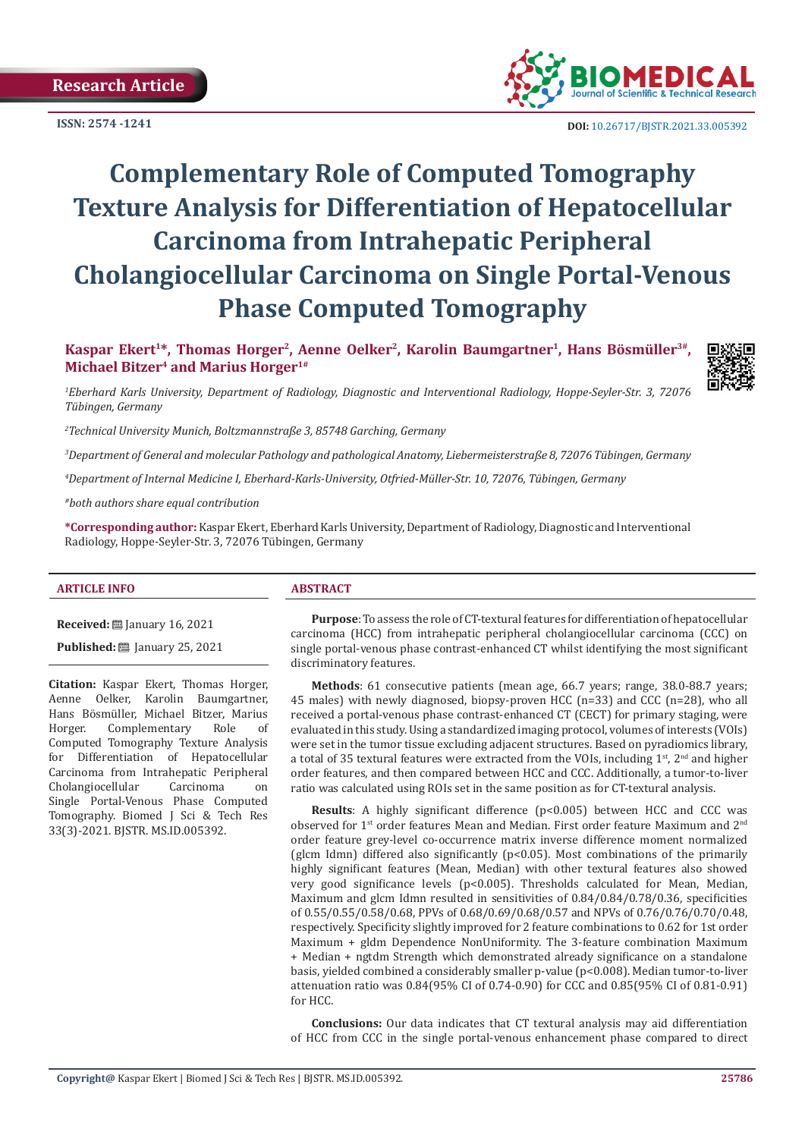**ISSN: 2574 -1241**



 **DOI:** [10.26717/BJSTR.2021.33.0053](http://dx.doi.org/10.26717/BJSTR.2021.33.005392)92

# **Complementary Role of Computed Tomography Texture Analysis for Differentiation of Hepatocellular Carcinoma from Intrahepatic Peripheral Cholangiocellular Carcinoma on Single Portal-Venous Phase Computed Tomography**

Kaspar Ekert<sup>1\*</sup>, Thomas Horger<sup>2</sup>, Aenne Oelker<sup>2</sup>, Karolin Baumgartner<sup>1</sup>, Hans Bösmüller<sup>3#</sup>, **Michael Bitzer4 and Marius Horger1#** 



*1 Eberhard Karls University, Department of Radiology, Diagnostic and Interventional Radiology, Hoppe-Seyler-Str. 3, 72076 Tübingen, Germany*

*2 Technical University Munich, Boltzmannstraße 3, 85748 Garching, Germany*

*3 Department of General and molecular Pathology and pathological Anatomy, Liebermeisterstraße 8, 72076 Tübingen, Germany*

*4 Department of Internal Medicine I, Eberhard-Karls-University, Otfried-Müller-Str. 10, 72076, Tübingen, Germany*

*#both authors share equal contribution*

**\*Corresponding author:** Kaspar Ekert, Eberhard Karls University, Department of Radiology, Diagnostic and Interventional Radiology, Hoppe-Seyler-Str. 3, 72076 Tübingen, Germany

#### **ARTICLE INFO ABSTRACT**

**Received:** January 16, 2021

**Published: 25, 2021** 

**Citation:** Kaspar Ekert, Thomas Horger, Aenne Oelker, Karolin Baumgartner, Hans Bösmüller, Michael Bitzer, Marius Complementary Computed Tomography Texture Analysis for Differentiation of Hepatocellular Carcinoma from Intrahepatic Peripheral<br>Cholangiocellular Carcinoma on Cholangiocellular Single Portal-Venous Phase Computed Tomography. Biomed J Sci & Tech Res 33(3)-2021. BJSTR. MS.ID.005392.

**Purpose**: To assess the role of CT-textural features for differentiation of hepatocellular carcinoma (HCC) from intrahepatic peripheral cholangiocellular carcinoma (CCC) on single portal-venous phase contrast-enhanced CT whilst identifying the most significant discriminatory features.

**Methods**: 61 consecutive patients (mean age, 66.7 years; range, 38.0-88.7 years; 45 males) with newly diagnosed, biopsy-proven HCC (n=33) and CCC (n=28), who all received a portal-venous phase contrast-enhanced CT (CECT) for primary staging, were evaluated in this study. Using a standardized imaging protocol, volumes of interests (VOIs) were set in the tumor tissue excluding adjacent structures. Based on pyradiomics library, a total of 35 textural features were extracted from the VOIs, including  $1^{st}$ ,  $2^{nd}$  and higher order features, and then compared between HCC and CCC. Additionally, a tumor-to-liver ratio was calculated using ROIs set in the same position as for CT-textural analysis.

**Results**: A highly significant difference (p<0.005) between HCC and CCC was observed for 1st order features Mean and Median. First order feature Maximum and 2nd order feature grey-level co-occurrence matrix inverse difference moment normalized (glcm Idmn) differed also significantly (p<0.05). Most combinations of the primarily highly significant features (Mean, Median) with other textural features also showed very good significance levels (p<0.005). Thresholds calculated for Mean, Median, Maximum and glcm Idmn resulted in sensitivities of 0.84/0.84/0.78/0.36, specificities of 0.55/0.55/0.58/0.68, PPVs of 0.68/0.69/0.68/0.57 and NPVs of 0.76/0.76/0.70/0.48, respectively. Specificity slightly improved for 2 feature combinations to 0.62 for 1st order Maximum + gldm Dependence NonUniformity. The 3-feature combination Maximum + Median + ngtdm Strength which demonstrated already significance on a standalone basis, yielded combined a considerably smaller p-value (p<0.008). Median tumor-to-liver attenuation ratio was 0.84(95% CI of 0.74-0.90) for CCC and 0.85(95% CI of 0.81-0.91) for HCC.

**Conclusions:** Our data indicates that CT textural analysis may aid differentiation of HCC from CCC in the single portal-venous enhancement phase compared to direct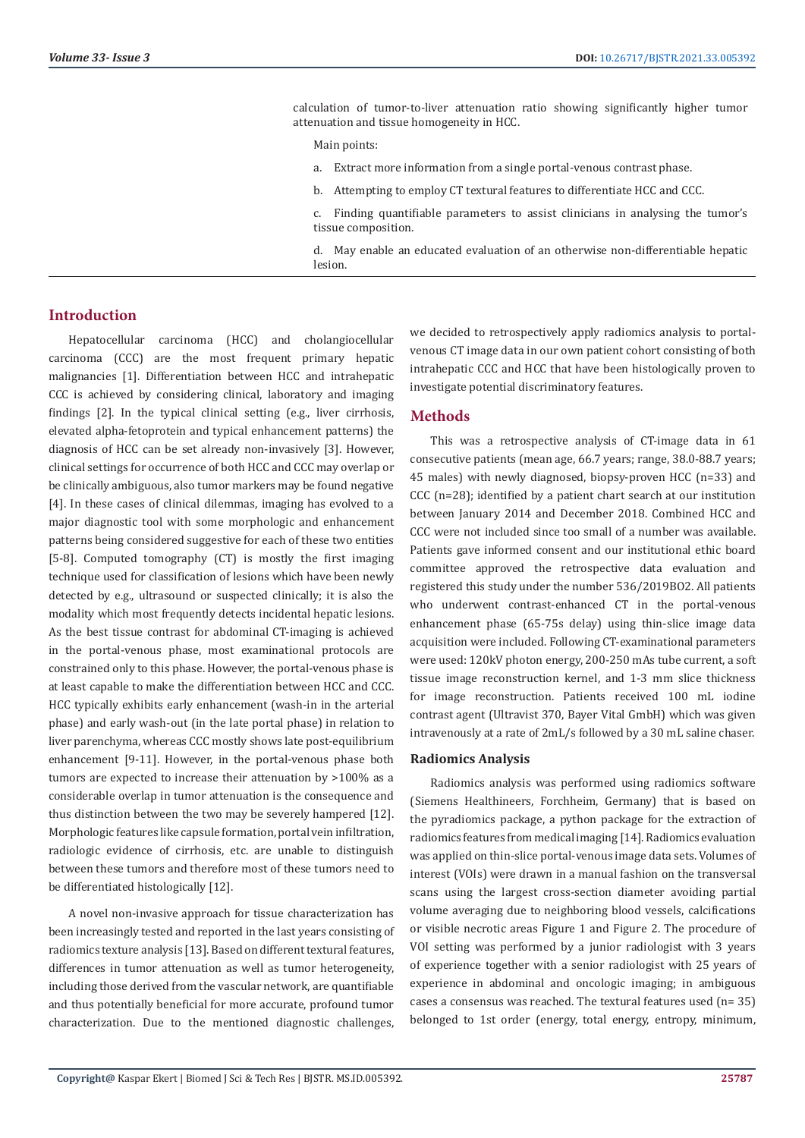calculation of tumor-to-liver attenuation ratio showing significantly higher tumor attenuation and tissue homogeneity in HCC.

Main points:

- a. Extract more information from a single portal-venous contrast phase.
- b. Attempting to employ CT textural features to differentiate HCC and CCC.

c. Finding quantifiable parameters to assist clinicians in analysing the tumor's tissue composition.

d. May enable an educated evaluation of an otherwise non-differentiable hepatic lesion.

# **Introduction**

Hepatocellular carcinoma (HCC) and cholangiocellular carcinoma (CCC) are the most frequent primary hepatic malignancies [1]. Differentiation between HCC and intrahepatic CCC is achieved by considering clinical, laboratory and imaging findings [2]. In the typical clinical setting (e.g., liver cirrhosis, elevated alpha-fetoprotein and typical enhancement patterns) the diagnosis of HCC can be set already non-invasively [3]. However, clinical settings for occurrence of both HCC and CCC may overlap or be clinically ambiguous, also tumor markers may be found negative [4]. In these cases of clinical dilemmas, imaging has evolved to a major diagnostic tool with some morphologic and enhancement patterns being considered suggestive for each of these two entities [5-8]. Computed tomography (CT) is mostly the first imaging technique used for classification of lesions which have been newly detected by e.g., ultrasound or suspected clinically; it is also the modality which most frequently detects incidental hepatic lesions. As the best tissue contrast for abdominal CT-imaging is achieved in the portal-venous phase, most examinational protocols are constrained only to this phase. However, the portal-venous phase is at least capable to make the differentiation between HCC and CCC. HCC typically exhibits early enhancement (wash-in in the arterial phase) and early wash-out (in the late portal phase) in relation to liver parenchyma, whereas CCC mostly shows late post-equilibrium enhancement [9-11]. However, in the portal-venous phase both tumors are expected to increase their attenuation by >100% as a considerable overlap in tumor attenuation is the consequence and thus distinction between the two may be severely hampered [12]. Morphologic features like capsule formation, portal vein infiltration, radiologic evidence of cirrhosis, etc. are unable to distinguish between these tumors and therefore most of these tumors need to be differentiated histologically [12].

A novel non-invasive approach for tissue characterization has been increasingly tested and reported in the last years consisting of radiomics texture analysis [13]. Based on different textural features, differences in tumor attenuation as well as tumor heterogeneity, including those derived from the vascular network, are quantifiable and thus potentially beneficial for more accurate, profound tumor characterization. Due to the mentioned diagnostic challenges,

we decided to retrospectively apply radiomics analysis to portalvenous CT image data in our own patient cohort consisting of both intrahepatic CCC and HCC that have been histologically proven to investigate potential discriminatory features.

# **Methods**

This was a retrospective analysis of CT-image data in 61 consecutive patients (mean age, 66.7 years; range, 38.0-88.7 years; 45 males) with newly diagnosed, biopsy-proven HCC (n=33) and CCC (n=28); identified by a patient chart search at our institution between January 2014 and December 2018. Combined HCC and CCC were not included since too small of a number was available. Patients gave informed consent and our institutional ethic board committee approved the retrospective data evaluation and registered this study under the number 536/2019BO2. All patients who underwent contrast-enhanced CT in the portal-venous enhancement phase (65-75s delay) using thin-slice image data acquisition were included. Following CT-examinational parameters were used: 120kV photon energy, 200-250 mAs tube current, a soft tissue image reconstruction kernel, and 1-3 mm slice thickness for image reconstruction. Patients received 100 mL iodine contrast agent (Ultravist 370, Bayer Vital GmbH) which was given intravenously at a rate of 2mL/s followed by a 30 mL saline chaser.

#### **Radiomics Analysis**

Radiomics analysis was performed using radiomics software (Siemens Healthineers, Forchheim, Germany) that is based on the pyradiomics package, a python package for the extraction of radiomics features from medical imaging [14]. Radiomics evaluation was applied on thin-slice portal-venous image data sets. Volumes of interest (VOIs) were drawn in a manual fashion on the transversal scans using the largest cross-section diameter avoiding partial volume averaging due to neighboring blood vessels, calcifications or visible necrotic areas Figure 1 and Figure 2. The procedure of VOI setting was performed by a junior radiologist with 3 years of experience together with a senior radiologist with 25 years of experience in abdominal and oncologic imaging; in ambiguous cases a consensus was reached. The textural features used (n= 35) belonged to 1st order (energy, total energy, entropy, minimum,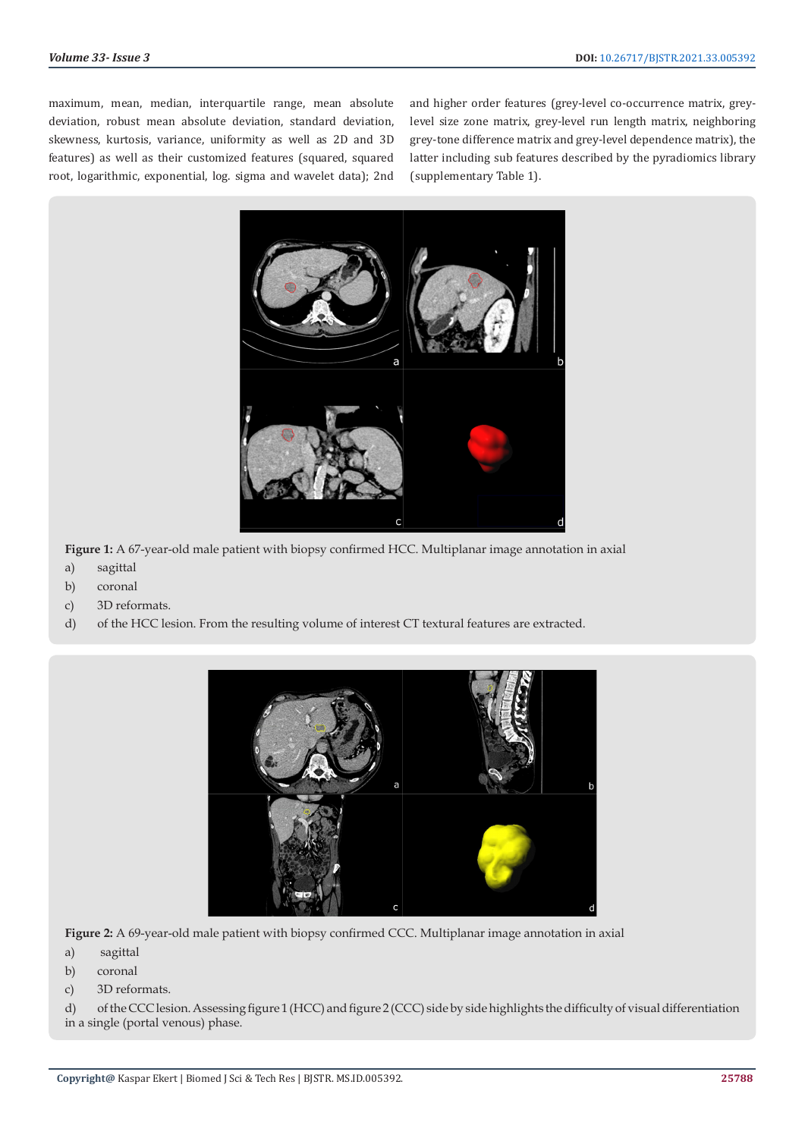maximum, mean, median, interquartile range, mean absolute deviation, robust mean absolute deviation, standard deviation, skewness, kurtosis, variance, uniformity as well as 2D and 3D features) as well as their customized features (squared, squared root, logarithmic, exponential, log. sigma and wavelet data); 2nd and higher order features (grey-level co-occurrence matrix, greylevel size zone matrix, grey-level run length matrix, neighboring grey-tone difference matrix and grey-level dependence matrix), the latter including sub features described by the pyradiomics library (supplementary Table 1).



**Figure 1:** A 67-year-old male patient with biopsy confirmed HCC. Multiplanar image annotation in axial

- a) sagittal
- b) coronal
- c) 3D reformats.
- d) of the HCC lesion. From the resulting volume of interest CT textural features are extracted.



**Figure 2:** A 69-year-old male patient with biopsy confirmed CCC. Multiplanar image annotation in axial

- a) sagittal
- b) coronal
- c) 3D reformats.

d) of the CCC lesion. Assessing figure 1 (HCC) and figure 2 (CCC) side by side highlights the difficulty of visual differentiation in a single (portal venous) phase.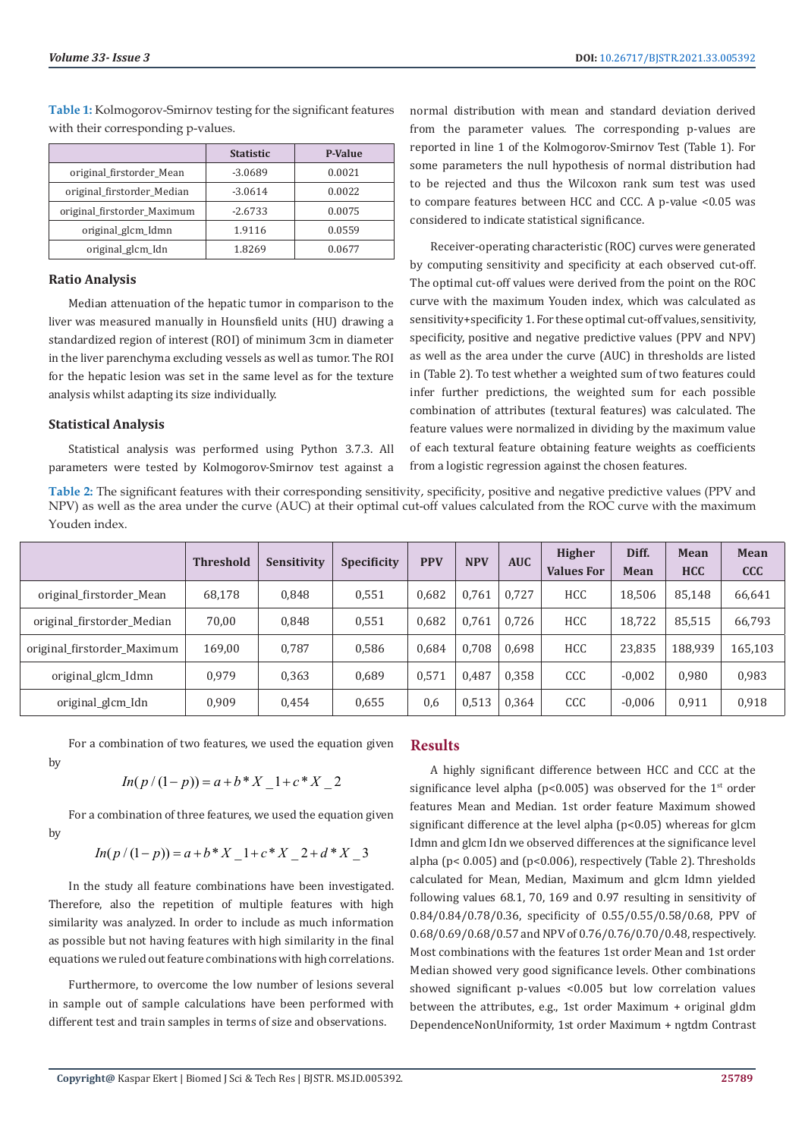|                             | <b>Statistic</b> | <b>P-Value</b> |
|-----------------------------|------------------|----------------|
| original_firstorder_Mean    | $-3.0689$        | 0.0021         |
| original firstorder Median  | $-3.0614$        | 0.0022         |
| original_firstorder_Maximum | $-2.6733$        | 0.0075         |
| original_glcm_Idmn          | 1.9116           | 0.0559         |
| original_glcm_Idn           | 1.8269           | 0.0677         |

**Table 1:** Kolmogorov-Smirnov testing for the significant features with their corresponding p-values.

#### **Ratio Analysis**

Median attenuation of the hepatic tumor in comparison to the liver was measured manually in Hounsfield units (HU) drawing a standardized region of interest (ROI) of minimum 3cm in diameter in the liver parenchyma excluding vessels as well as tumor. The ROI for the hepatic lesion was set in the same level as for the texture analysis whilst adapting its size individually.

#### **Statistical Analysis**

by

Statistical analysis was performed using Python 3.7.3. All parameters were tested by Kolmogorov-Smirnov test against a normal distribution with mean and standard deviation derived from the parameter values. The corresponding p-values are reported in line 1 of the Kolmogorov-Smirnov Test (Table 1). For some parameters the null hypothesis of normal distribution had to be rejected and thus the Wilcoxon rank sum test was used to compare features between HCC and CCC. A p-value <0.05 was considered to indicate statistical significance.

Receiver-operating characteristic (ROC) curves were generated by computing sensitivity and specificity at each observed cut-off. The optimal cut-off values were derived from the point on the ROC curve with the maximum Youden index, which was calculated as sensitivity+specificity 1. For these optimal cut-off values, sensitivity, specificity, positive and negative predictive values (PPV and NPV) as well as the area under the curve (AUC) in thresholds are listed in (Table 2). To test whether a weighted sum of two features could infer further predictions, the weighted sum for each possible combination of attributes (textural features) was calculated. The feature values were normalized in dividing by the maximum value of each textural feature obtaining feature weights as coefficients from a logistic regression against the chosen features.

**Table 2:** The significant features with their corresponding sensitivity, specificity, positive and negative predictive values (PPV and NPV) as well as the area under the curve (AUC) at their optimal cut-off values calculated from the ROC curve with the maximum Youden index.

|                             | <b>Threshold</b> | <b>Sensitivity</b> | <b>Specificity</b> | <b>PPV</b> | <b>NPV</b> | <b>AUC</b> | <b>Higher</b><br><b>Values For</b> | Diff.<br><b>Mean</b> | Mean<br><b>HCC</b> | Mean<br><b>CCC</b> |
|-----------------------------|------------------|--------------------|--------------------|------------|------------|------------|------------------------------------|----------------------|--------------------|--------------------|
| original_firstorder_Mean    | 68,178           | 0,848              | 0,551              | 0.682      | 0.761      | 0.727      | <b>HCC</b>                         | 18,506               | 85,148             | 66,641             |
| original_firstorder_Median  | 70,00            | 0,848              | 0,551              | 0.682      | 0,761      | 0.726      | <b>HCC</b>                         | 18.722               | 85,515             | 66,793             |
| original firstorder Maximum | 169,00           | 0,787              | 0,586              | 0.684      | 0,708      | 0,698      | <b>HCC</b>                         | 23,835               | 188.939            | 165,103            |
| original_glcm_Idmn          | 0.979            | 0,363              | 0.689              | 0.571      | 0.487      | 0.358      | CCC                                | $-0.002$             | 0,980              | 0,983              |
| original_glcm_Idn           | 0.909            | 0,454              | 0,655              | 0,6        | 0,513      | 0,364      | CCC                                | $-0,006$             | 0,911              | 0,918              |

For a combination of two features, we used the equation given

$$
ln(p/(1-p)) = a + b * X_1 + c * X_2
$$

For a combination of three features, we used the equation given by

$$
In(p/(1-p)) = a + b * X_1 + c * X_2 + d * X_3
$$

In the study all feature combinations have been investigated. Therefore, also the repetition of multiple features with high similarity was analyzed. In order to include as much information as possible but not having features with high similarity in the final equations we ruled out feature combinations with high correlations.

Furthermore, to overcome the low number of lesions several in sample out of sample calculations have been performed with different test and train samples in terms of size and observations.

# **Results**

A highly significant difference between HCC and CCC at the significance level alpha ( $p$ <0.005) was observed for the  $1<sup>st</sup>$  order features Mean and Median. 1st order feature Maximum showed significant difference at the level alpha (p<0.05) whereas for glcm Idmn and glcm Idn we observed differences at the significance level alpha (p< 0.005) and (p<0.006), respectively (Table 2). Thresholds calculated for Mean, Median, Maximum and glcm Idmn yielded following values 68.1, 70, 169 and 0.97 resulting in sensitivity of 0.84/0.84/0.78/0.36, specificity of 0.55/0.55/0.58/0.68, PPV of 0.68/0.69/0.68/0.57 and NPV of 0.76/0.76/0.70/0.48, respectively. Most combinations with the features 1st order Mean and 1st order Median showed very good significance levels. Other combinations showed significant p-values <0.005 but low correlation values between the attributes, e.g., 1st order Maximum + original gldm DependenceNonUniformity, 1st order Maximum + ngtdm Contrast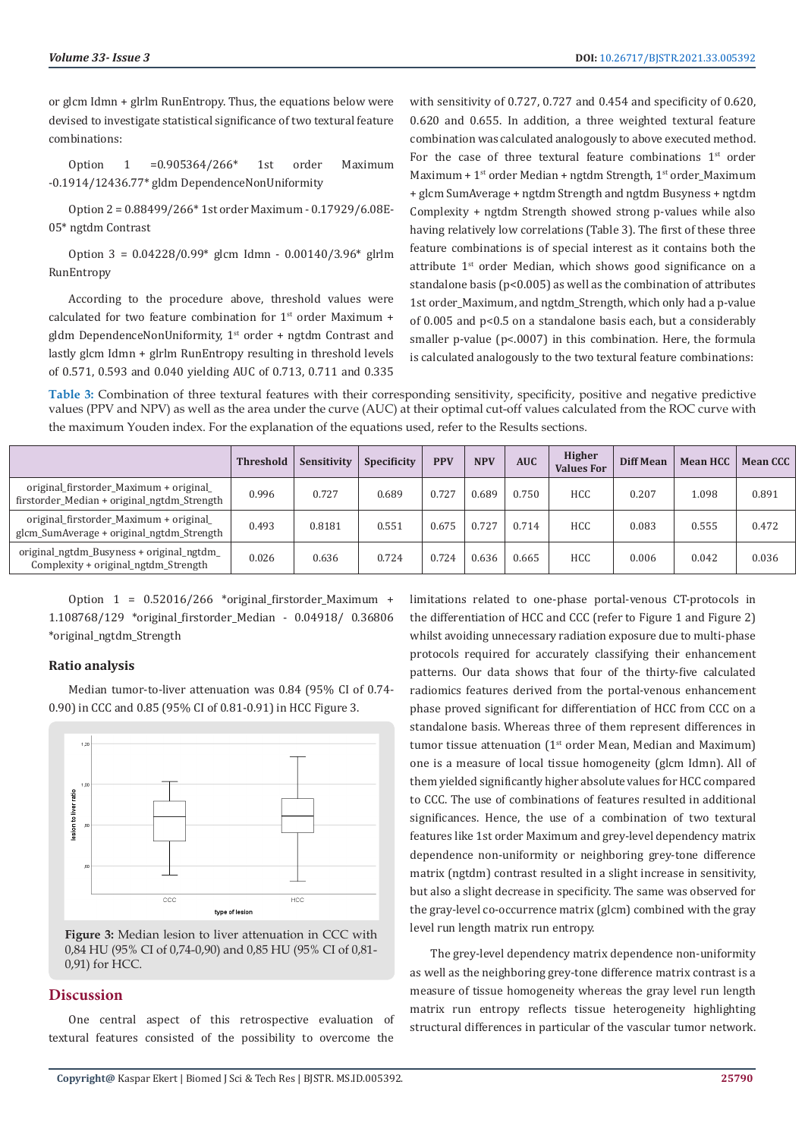or glcm Idmn + glrlm RunEntropy. Thus, the equations below were devised to investigate statistical significance of two textural feature combinations:

Option 1 =0.905364/266\* 1st order Maximum -0.1914/12436.77\* gldm DependenceNonUniformity

Option 2 = 0.88499/266\* 1st order Maximum - 0.17929/6.08E-05\* ngtdm Contrast

Option 3 = 0.04228/0.99\* glcm Idmn - 0.00140/3.96\* glrlm RunEntropy

According to the procedure above, threshold values were calculated for two feature combination for 1<sup>st</sup> order Maximum + gldm DependenceNonUniformity, 1<sup>st</sup> order + ngtdm Contrast and lastly glcm Idmn + glrlm RunEntropy resulting in threshold levels of 0.571, 0.593 and 0.040 yielding AUC of 0.713, 0.711 and 0.335 with sensitivity of 0.727, 0.727 and 0.454 and specificity of 0.620, 0.620 and 0.655. In addition, a three weighted textural feature combination was calculated analogously to above executed method. For the case of three textural feature combinations  $1<sup>st</sup>$  order Maximum + 1<sup>st</sup> order Median + ngtdm Strength, 1<sup>st</sup> order\_Maximum + glcm SumAverage + ngtdm Strength and ngtdm Busyness + ngtdm Complexity + ngtdm Strength showed strong p-values while also having relatively low correlations (Table 3). The first of these three feature combinations is of special interest as it contains both the attribute 1st order Median, which shows good significance on a standalone basis ( $p$ <0.005) as well as the combination of attributes 1st order\_Maximum, and ngtdm\_Strength, which only had a p-value of 0.005 and p<0.5 on a standalone basis each, but a considerably smaller p-value (p<.0007) in this combination. Here, the formula is calculated analogously to the two textural feature combinations:

**Table 3:** Combination of three textural features with their corresponding sensitivity, specificity, positive and negative predictive values (PPV and NPV) as well as the area under the curve (AUC) at their optimal cut-off values calculated from the ROC curve with the maximum Youden index. For the explanation of the equations used, refer to the Results sections.

|                                                                                        | <b>Threshold</b> | Sensitivity | Specificity | <b>PPV</b> | <b>NPV</b> | <b>AUC</b> | <b>Higher</b><br><b>Values For</b> | <b>Diff Mean</b> | <b>Mean HCC</b> | <b>Mean CCC</b> |
|----------------------------------------------------------------------------------------|------------------|-------------|-------------|------------|------------|------------|------------------------------------|------------------|-----------------|-----------------|
| original_firstorder_Maximum + original_<br>firstorder Median + original ngtdm Strength | 0.996            | 0.727       | 0.689       | 0.727      | 0.689      | 0.750      | <b>HCC</b>                         | 0.207            | 1.098           | 0.891           |
| original_firstorder_Maximum + original_<br>glcm_SumAverage + original_ngtdm_Strength   | 0.493            | 0.8181      | 0.551       | 0.675      | 0.727      | 0.714      | <b>HCC</b>                         | 0.083            | 0.555           | 0.472           |
| original_ngtdm_Busyness + original_ngtdm_<br>Complexity + original_ngtdm_Strength      | 0.026            | 0.636       | 0.724       | 0.724      | 0.636      | 0.665      | <b>HCC</b>                         | 0.006            | 0.042           | 0.036           |

Option 1 = 0.52016/266 \*original\_firstorder\_Maximum + 1.108768/129 \*original\_firstorder\_Median - 0.04918/ 0.36806 \*original\_ngtdm\_Strength

#### **Ratio analysis**

Median tumor-to-liver attenuation was 0.84 (95% CI of 0.74- 0.90) in CCC and 0.85 (95% CI of 0.81-0.91) in HCC Figure 3.



**Figure 3:** Median lesion to liver attenuation in CCC with 0,84 HU (95% CI of 0,74-0,90) and 0,85 HU (95% CI of 0,81- 0,91) for HCC.

### **Discussion**

One central aspect of this retrospective evaluation of textural features consisted of the possibility to overcome the limitations related to one-phase portal-venous CT-protocols in the differentiation of HCC and CCC (refer to Figure 1 and Figure 2) whilst avoiding unnecessary radiation exposure due to multi-phase protocols required for accurately classifying their enhancement patterns. Our data shows that four of the thirty-five calculated radiomics features derived from the portal-venous enhancement phase proved significant for differentiation of HCC from CCC on a standalone basis. Whereas three of them represent differences in tumor tissue attenuation  $(1<sup>st</sup> order Mean, Median and Maximum)$ one is a measure of local tissue homogeneity (glcm Idmn). All of them yielded significantly higher absolute values for HCC compared to CCC. The use of combinations of features resulted in additional significances. Hence, the use of a combination of two textural features like 1st order Maximum and grey-level dependency matrix dependence non-uniformity or neighboring grey-tone difference matrix (ngtdm) contrast resulted in a slight increase in sensitivity, but also a slight decrease in specificity. The same was observed for the gray-level co-occurrence matrix (glcm) combined with the gray level run length matrix run entropy.

The grey-level dependency matrix dependence non-uniformity as well as the neighboring grey-tone difference matrix contrast is a measure of tissue homogeneity whereas the gray level run length matrix run entropy reflects tissue heterogeneity highlighting structural differences in particular of the vascular tumor network.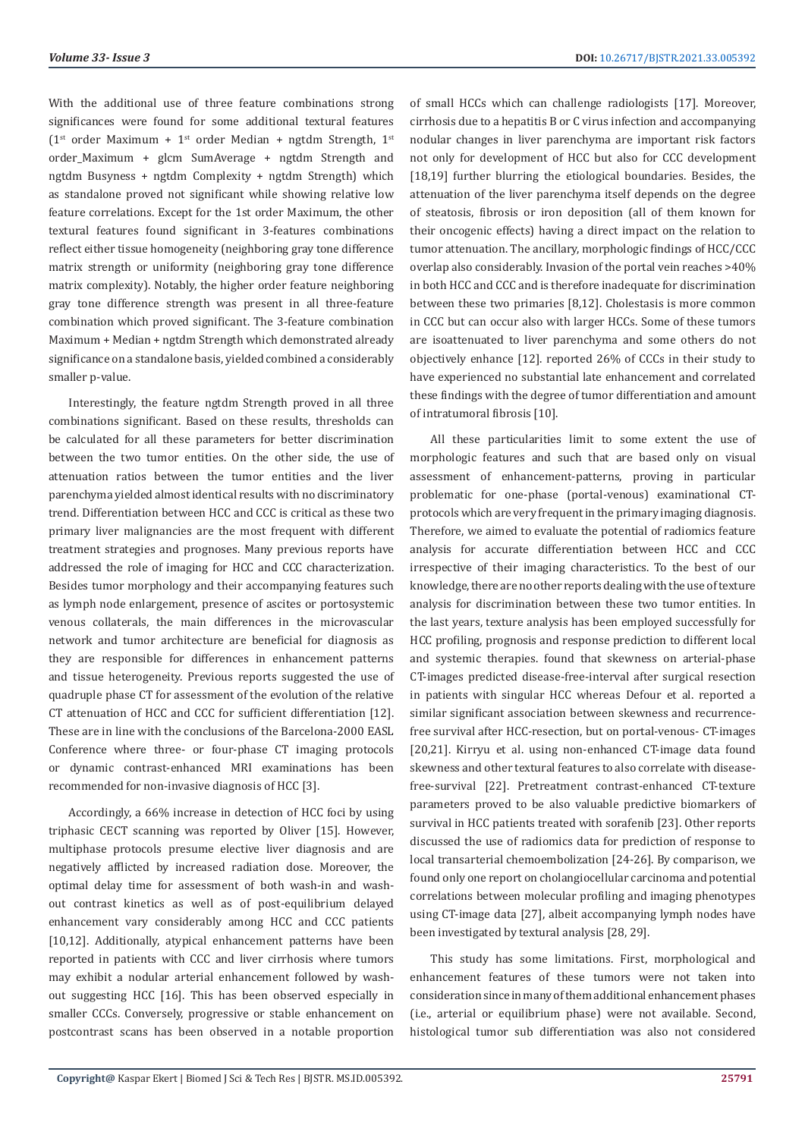With the additional use of three feature combinations strong significances were found for some additional textural features ( $1<sup>st</sup>$  order Maximum +  $1<sup>st</sup>$  order Median + ngtdm Strength,  $1<sup>st</sup>$ order\_Maximum + glcm SumAverage + ngtdm Strength and ngtdm Busyness + ngtdm Complexity + ngtdm Strength) which as standalone proved not significant while showing relative low feature correlations. Except for the 1st order Maximum, the other textural features found significant in 3-features combinations reflect either tissue homogeneity (neighboring gray tone difference matrix strength or uniformity (neighboring gray tone difference matrix complexity). Notably, the higher order feature neighboring gray tone difference strength was present in all three-feature combination which proved significant. The 3-feature combination Maximum + Median + ngtdm Strength which demonstrated already significance on a standalone basis, yielded combined a considerably smaller p-value.

Interestingly, the feature ngtdm Strength proved in all three combinations significant. Based on these results, thresholds can be calculated for all these parameters for better discrimination between the two tumor entities. On the other side, the use of attenuation ratios between the tumor entities and the liver parenchyma yielded almost identical results with no discriminatory trend. Differentiation between HCC and CCC is critical as these two primary liver malignancies are the most frequent with different treatment strategies and prognoses. Many previous reports have addressed the role of imaging for HCC and CCC characterization. Besides tumor morphology and their accompanying features such as lymph node enlargement, presence of ascites or portosystemic venous collaterals, the main differences in the microvascular network and tumor architecture are beneficial for diagnosis as they are responsible for differences in enhancement patterns and tissue heterogeneity. Previous reports suggested the use of quadruple phase CT for assessment of the evolution of the relative CT attenuation of HCC and CCC for sufficient differentiation [12]. These are in line with the conclusions of the Barcelona-2000 EASL Conference where three- or four-phase CT imaging protocols or dynamic contrast-enhanced MRI examinations has been recommended for non-invasive diagnosis of HCC [3].

Accordingly, a 66% increase in detection of HCC foci by using triphasic CECT scanning was reported by Oliver [15]. However, multiphase protocols presume elective liver diagnosis and are negatively afflicted by increased radiation dose. Moreover, the optimal delay time for assessment of both wash-in and washout contrast kinetics as well as of post-equilibrium delayed enhancement vary considerably among HCC and CCC patients [10,12]. Additionally, atypical enhancement patterns have been reported in patients with CCC and liver cirrhosis where tumors may exhibit a nodular arterial enhancement followed by washout suggesting HCC [16]. This has been observed especially in smaller CCCs. Conversely, progressive or stable enhancement on postcontrast scans has been observed in a notable proportion

of small HCCs which can challenge radiologists [17]. Moreover, cirrhosis due to a hepatitis B or C virus infection and accompanying nodular changes in liver parenchyma are important risk factors not only for development of HCC but also for CCC development [18,19] further blurring the etiological boundaries. Besides, the attenuation of the liver parenchyma itself depends on the degree of steatosis, fibrosis or iron deposition (all of them known for their oncogenic effects) having a direct impact on the relation to tumor attenuation. The ancillary, morphologic findings of HCC/CCC overlap also considerably. Invasion of the portal vein reaches >40% in both HCC and CCC and is therefore inadequate for discrimination between these two primaries [8,12]. Cholestasis is more common in CCC but can occur also with larger HCCs. Some of these tumors are isoattenuated to liver parenchyma and some others do not objectively enhance [12]. reported 26% of CCCs in their study to have experienced no substantial late enhancement and correlated these findings with the degree of tumor differentiation and amount of intratumoral fibrosis [10].

All these particularities limit to some extent the use of morphologic features and such that are based only on visual assessment of enhancement-patterns, proving in particular problematic for one-phase (portal-venous) examinational CTprotocols which are very frequent in the primary imaging diagnosis. Therefore, we aimed to evaluate the potential of radiomics feature analysis for accurate differentiation between HCC and CCC irrespective of their imaging characteristics. To the best of our knowledge, there are no other reports dealing with the use of texture analysis for discrimination between these two tumor entities. In the last years, texture analysis has been employed successfully for HCC profiling, prognosis and response prediction to different local and systemic therapies. found that skewness on arterial-phase CT-images predicted disease-free-interval after surgical resection in patients with singular HCC whereas Defour et al. reported a similar significant association between skewness and recurrencefree survival after HCC-resection, but on portal-venous- CT-images [20,21]. Kirryu et al. using non-enhanced CT-image data found skewness and other textural features to also correlate with diseasefree-survival [22]. Pretreatment contrast-enhanced CT-texture parameters proved to be also valuable predictive biomarkers of survival in HCC patients treated with sorafenib [23]. Other reports discussed the use of radiomics data for prediction of response to local transarterial chemoembolization [24-26]. By comparison, we found only one report on cholangiocellular carcinoma and potential correlations between molecular profiling and imaging phenotypes using CT-image data [27], albeit accompanying lymph nodes have been investigated by textural analysis [28, 29].

This study has some limitations. First, morphological and enhancement features of these tumors were not taken into consideration since in many of them additional enhancement phases (i.e., arterial or equilibrium phase) were not available. Second, histological tumor sub differentiation was also not considered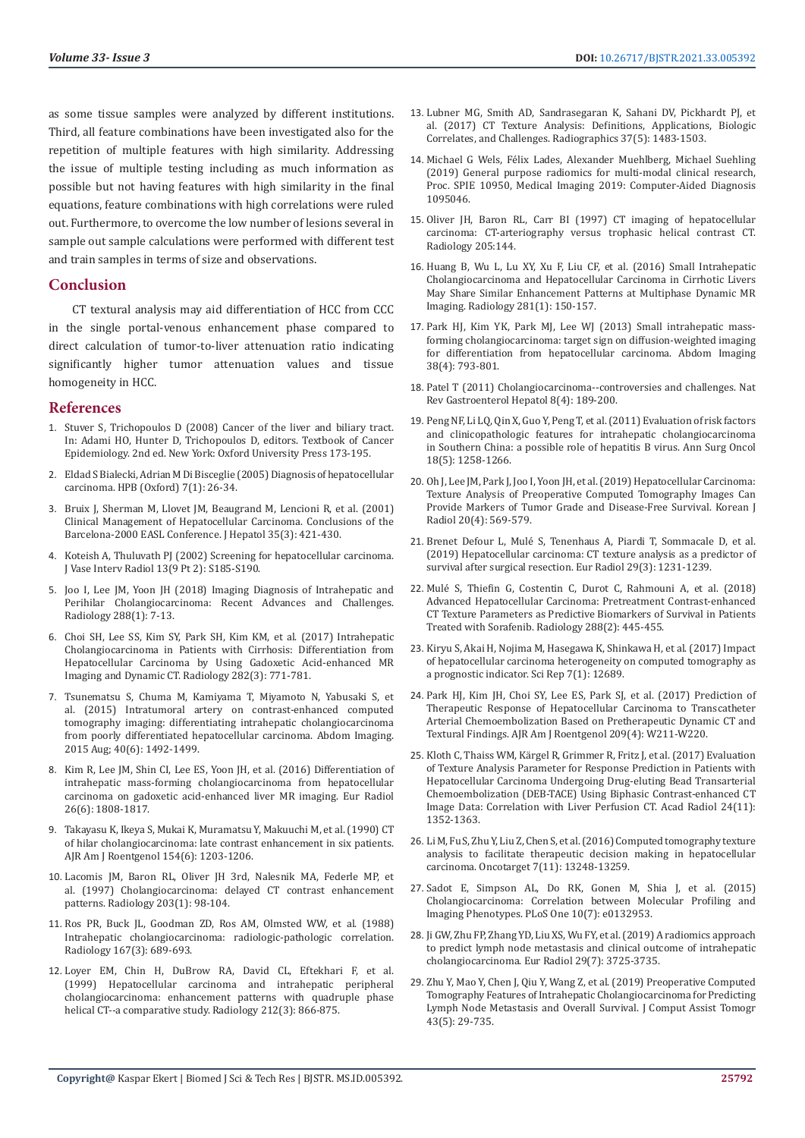as some tissue samples were analyzed by different institutions. Third, all feature combinations have been investigated also for the repetition of multiple features with high similarity. Addressing the issue of multiple testing including as much information as possible but not having features with high similarity in the final equations, feature combinations with high correlations were ruled out. Furthermore, to overcome the low number of lesions several in sample out sample calculations were performed with different test and train samples in terms of size and observations.

# **Conclusion**

 CT textural analysis may aid differentiation of HCC from CCC in the single portal-venous enhancement phase compared to direct calculation of tumor-to-liver attenuation ratio indicating significantly higher tumor attenuation values and tissue homogeneity in HCC.

#### **References**

- 1. [Stuver S, Trichopoulos D \(2008\) Cancer of the liver and biliary tract.](https://oxford.universitypressscholarship.com/view/10.1093/acprof:oso/9780195311174.001.0001/acprof-9780195311174-chapter-12)  [In: Adami HO, Hunter D, Trichopoulos D, editors. Textbook of Cancer](https://oxford.universitypressscholarship.com/view/10.1093/acprof:oso/9780195311174.001.0001/acprof-9780195311174-chapter-12)  [Epidemiology. 2nd ed. New York: Oxford University Press 173-195.](https://oxford.universitypressscholarship.com/view/10.1093/acprof:oso/9780195311174.001.0001/acprof-9780195311174-chapter-12)
- 2. [Eldad S Bialecki, Adrian M Di Bisceglie \(2005\) Diagnosis of hepatocellular](https://www.ncbi.nlm.nih.gov/pmc/articles/PMC2023919/)  [carcinoma. HPB \(Oxford\) 7\(1\): 26-34.](https://www.ncbi.nlm.nih.gov/pmc/articles/PMC2023919/)
- 3. [Bruix J, Sherman M, Llovet JM, Beaugrand M, Lencioni R, et al. \(2001\)](https://pubmed.ncbi.nlm.nih.gov/11592607/)  [Clinical Management of Hepatocellular Carcinoma. Conclusions of the](https://pubmed.ncbi.nlm.nih.gov/11592607/)  [Barcelona-2000 EASL Conference. J Hepatol 35\(3\): 421-430.](https://pubmed.ncbi.nlm.nih.gov/11592607/)
- 4. [Koteish A, Thuluvath PJ \(2002\) Screening for hepatocellular carcinoma.](https://www.sciencedirect.com/science/article/pii/S1051044307617850)  [J Vase Interv Radiol 13\(9 Pt 2\): S185-S190.](https://www.sciencedirect.com/science/article/pii/S1051044307617850)
- 5. [Joo I, Lee JM, Yoon JH \(2018\) Imaging Diagnosis of Intrahepatic and](https://pubs.rsna.org/doi/full/10.1148/radiol.2018171187)  [Perihilar Cholangiocarcinoma: Recent Advances and Challenges.](https://pubs.rsna.org/doi/full/10.1148/radiol.2018171187)  [Radiology 288\(1\): 7-13.](https://pubs.rsna.org/doi/full/10.1148/radiol.2018171187)
- 6. [Choi SH, Lee SS, Kim SY, Park SH, Kim KM, et al. \(2017\) Intrahepatic](https://pubs.rsna.org/doi/full/10.1148/radiol.2016160639)  [Cholangiocarcinoma in Patients with Cirrhosis: Differentiation from](https://pubs.rsna.org/doi/full/10.1148/radiol.2016160639)  [Hepatocellular Carcinoma by Using Gadoxetic Acid-enhanced MR](https://pubs.rsna.org/doi/full/10.1148/radiol.2016160639)  [Imaging and Dynamic CT. Radiology 282\(3\): 771-781.](https://pubs.rsna.org/doi/full/10.1148/radiol.2016160639)
- 7. [Tsunematsu S, Chuma M, Kamiyama T, Miyamoto N, Yabusaki S, et](https://pubmed.ncbi.nlm.nih.gov/25579172/)  [al. \(2015\) Intratumoral artery on contrast-enhanced computed](https://pubmed.ncbi.nlm.nih.gov/25579172/)  [tomography imaging: differentiating intrahepatic cholangiocarcinoma](https://pubmed.ncbi.nlm.nih.gov/25579172/)  [from poorly differentiated hepatocellular carcinoma. Abdom Imaging.](https://pubmed.ncbi.nlm.nih.gov/25579172/)  [2015 Aug; 40\(6\): 1492-1499.](https://pubmed.ncbi.nlm.nih.gov/25579172/)
- 8. [Kim R, Lee JM, Shin CI, Lee ES, Yoon JH, et al. \(2016\) Differentiation of](https://pubmed.ncbi.nlm.nih.gov/26373763/)  [intrahepatic mass-forming cholangiocarcinoma from hepatocellular](https://pubmed.ncbi.nlm.nih.gov/26373763/)  [carcinoma on gadoxetic acid-enhanced liver MR imaging. Eur Radiol](https://pubmed.ncbi.nlm.nih.gov/26373763/)  [26\(6\): 1808-1817.](https://pubmed.ncbi.nlm.nih.gov/26373763/)
- 9. [Takayasu K, Ikeya S, Mukai K, Muramatsu Y, Makuuchi M, et al. \(1990\) CT](https://pubmed.ncbi.nlm.nih.gov/2159688/)  [of hilar cholangiocarcinoma: late contrast enhancement in six patients.](https://pubmed.ncbi.nlm.nih.gov/2159688/)  [AJR Am J Roentgenol 154\(6\): 1203-1206.](https://pubmed.ncbi.nlm.nih.gov/2159688/)
- 10. [Lacomis JM, Baron RL, Oliver JH 3rd, Nalesnik MA, Federle MP, et](https://pubmed.ncbi.nlm.nih.gov/9122423/)  [al. \(1997\) Cholangiocarcinoma: delayed CT contrast enhancement](https://pubmed.ncbi.nlm.nih.gov/9122423/)  [patterns. Radiology 203\(1\): 98-104.](https://pubmed.ncbi.nlm.nih.gov/9122423/)
- 11. [Ros PR, Buck JL, Goodman ZD, Ros AM, Olmsted WW, et al. \(1988\)](https://pubmed.ncbi.nlm.nih.gov/2834769/)  [Intrahepatic cholangiocarcinoma: radiologic-pathologic correlation.](https://pubmed.ncbi.nlm.nih.gov/2834769/)  [Radiology 167\(3\): 689-693.](https://pubmed.ncbi.nlm.nih.gov/2834769/)
- 12. [Loyer EM, Chin H, DuBrow RA, David CL, Eftekhari F, et al.](https://pubmed.ncbi.nlm.nih.gov/10478259/)  [\(1999\) Hepatocellular carcinoma and intrahepatic peripheral](https://pubmed.ncbi.nlm.nih.gov/10478259/)  [cholangiocarcinoma: enhancement patterns with quadruple phase](https://pubmed.ncbi.nlm.nih.gov/10478259/)  [helical CT--a comparative study. Radiology 212\(3\): 866-875.](https://pubmed.ncbi.nlm.nih.gov/10478259/)
- 13. [Lubner MG, Smith AD, Sandrasegaran K, Sahani DV, Pickhardt PJ, et](https://pubs.rsna.org/doi/full/10.1148/rg.2017170056) [al. \(2017\) CT Texture Analysis: Definitions, Applications, Biologic](https://pubs.rsna.org/doi/full/10.1148/rg.2017170056) [Correlates, and Challenges. Radiographics 37\(5\): 1483-1503.](https://pubs.rsna.org/doi/full/10.1148/rg.2017170056)
- 14. [Michael G Wels, Félix Lades, Alexander Muehlberg, Michael Suehling](https://www.spiedigitallibrary.org/conference-proceedings-of-spie/10950/1095046/General-purpose-radiomics-for-multi-modal-clinical-research/10.1117/12.2511856.short?SSO=1) [\(2019\) General purpose radiomics for multi-modal clinical research,](https://www.spiedigitallibrary.org/conference-proceedings-of-spie/10950/1095046/General-purpose-radiomics-for-multi-modal-clinical-research/10.1117/12.2511856.short?SSO=1) [Proc. SPIE 10950, Medical Imaging 2019: Computer-Aided Diagnosis](https://www.spiedigitallibrary.org/conference-proceedings-of-spie/10950/1095046/General-purpose-radiomics-for-multi-modal-clinical-research/10.1117/12.2511856.short?SSO=1) [1095046.](https://www.spiedigitallibrary.org/conference-proceedings-of-spie/10950/1095046/General-purpose-radiomics-for-multi-modal-clinical-research/10.1117/12.2511856.short?SSO=1)
- 15. Oliver JH, Baron RL, Carr BI (1997) CT imaging of hepatocellular carcinoma: CT-arteriography versus trophasic helical contrast CT. Radiology 205:144.
- 16. [Huang B, Wu L, Lu XY, Xu F, Liu CF, et al. \(2016\) Small Intrahepatic](https://pubmed.ncbi.nlm.nih.gov/27077381/) [Cholangiocarcinoma and Hepatocellular Carcinoma in Cirrhotic Livers](https://pubmed.ncbi.nlm.nih.gov/27077381/) [May Share Similar Enhancement Patterns at Multiphase Dynamic MR](https://pubmed.ncbi.nlm.nih.gov/27077381/) [Imaging. Radiology 281\(1\): 150-157.](https://pubmed.ncbi.nlm.nih.gov/27077381/)
- 17. [Park HJ, Kim YK, Park MJ, Lee WJ \(2013\) Small intrahepatic mass](https://pubmed.ncbi.nlm.nih.gov/22829097/)[forming cholangiocarcinoma: target sign on diffusion-weighted imaging](https://pubmed.ncbi.nlm.nih.gov/22829097/) [for differentiation from hepatocellular carcinoma. Abdom Imaging](https://pubmed.ncbi.nlm.nih.gov/22829097/) [38\(4\): 793-801.](https://pubmed.ncbi.nlm.nih.gov/22829097/)
- 18. [Patel T \(2011\) Cholangiocarcinoma--controversies and challenges. Nat](https://www.ncbi.nlm.nih.gov/pmc/articles/PMC3888819/) [Rev Gastroenterol Hepatol 8\(4\): 189-200.](https://www.ncbi.nlm.nih.gov/pmc/articles/PMC3888819/)
- 19. [Peng NF, Li LQ, Qin X, Guo Y, Peng T, et al. \(2011\) Evaluation of risk factors](https://pubmed.ncbi.nlm.nih.gov/21207172/) [and clinicopathologic features for intrahepatic cholangiocarcinoma](https://pubmed.ncbi.nlm.nih.gov/21207172/) [in Southern China: a possible role of hepatitis B virus. Ann Surg Oncol](https://pubmed.ncbi.nlm.nih.gov/21207172/) [18\(5\): 1258-1266.](https://pubmed.ncbi.nlm.nih.gov/21207172/)
- 20. [Oh J, Lee JM, Park J, Joo I, Yoon JH, et al. \(2019\) Hepatocellular Carcinoma:](https://www.ncbi.nlm.nih.gov/pmc/articles/PMC6424831/) [Texture Analysis of Preoperative Computed Tomography Images Can](https://www.ncbi.nlm.nih.gov/pmc/articles/PMC6424831/) [Provide Markers of Tumor Grade and Disease-Free Survival. Korean J](https://www.ncbi.nlm.nih.gov/pmc/articles/PMC6424831/) [Radiol 20\(4\): 569-579.](https://www.ncbi.nlm.nih.gov/pmc/articles/PMC6424831/)
- 21. [Brenet Defour L, Mulé S, Tenenhaus A, Piardi T, Sommacale D, et al.](https://pubmed.ncbi.nlm.nih.gov/30159621/) [\(2019\) Hepatocellular carcinoma: CT texture analysis as a predictor of](https://pubmed.ncbi.nlm.nih.gov/30159621/) [survival after surgical resection. Eur Radiol 29\(3\): 1231-1239.](https://pubmed.ncbi.nlm.nih.gov/30159621/)
- 22. [Mulé S, Thiefin G, Costentin C, Durot C, Rahmouni A, et al. \(2018\)](https://pubmed.ncbi.nlm.nih.gov/29584597/) [Advanced Hepatocellular Carcinoma: Pretreatment Contrast-enhanced](https://pubmed.ncbi.nlm.nih.gov/29584597/) [CT Texture Parameters as Predictive Biomarkers of Survival in Patients](https://pubmed.ncbi.nlm.nih.gov/29584597/) [Treated with Sorafenib. Radiology 288\(2\): 445-455.](https://pubmed.ncbi.nlm.nih.gov/29584597/)
- 23. [Kiryu S, Akai H, Nojima M, Hasegawa K, Shinkawa H, et al. \(2017\) Impact](https://pubmed.ncbi.nlm.nih.gov/28978930/) [of hepatocellular carcinoma heterogeneity on computed tomography as](https://pubmed.ncbi.nlm.nih.gov/28978930/) [a prognostic indicator. Sci Rep 7\(1\): 12689.](https://pubmed.ncbi.nlm.nih.gov/28978930/)
- 24. [Park HJ, Kim JH, Choi SY, Lee ES, Park SJ, et al. \(2017\) Prediction of](https://pubmed.ncbi.nlm.nih.gov/28813195/) [Therapeutic Response of Hepatocellular Carcinoma to Transcatheter](https://pubmed.ncbi.nlm.nih.gov/28813195/) [Arterial Chemoembolization Based on Pretherapeutic Dynamic CT and](https://pubmed.ncbi.nlm.nih.gov/28813195/) [Textural Findings. AJR Am J Roentgenol 209\(4\): W211-W220](https://pubmed.ncbi.nlm.nih.gov/28813195/).
- 25. [Kloth C, Thaiss WM, Kärgel R, Grimmer R, Fritz J, et al. \(2017\) Evaluation](https://pubmed.ncbi.nlm.nih.gov/28652049/) [of Texture Analysis Parameter for Response Prediction in Patients with](https://pubmed.ncbi.nlm.nih.gov/28652049/) [Hepatocellular Carcinoma Undergoing Drug-eluting Bead Transarterial](https://pubmed.ncbi.nlm.nih.gov/28652049/) [Chemoembolization \(DEB-TACE\) Using Biphasic Contrast-enhanced CT](https://pubmed.ncbi.nlm.nih.gov/28652049/) [Image Data: Correlation with Liver Perfusion CT. Acad Radiol 24\(11\):](https://pubmed.ncbi.nlm.nih.gov/28652049/) [1352-1363.](https://pubmed.ncbi.nlm.nih.gov/28652049/)
- 26. [Li M, Fu S, Zhu Y, Liu Z, Chen S, et al. \(2016\) Computed tomography texture](https://pubmed.ncbi.nlm.nih.gov/26910890/) [analysis to facilitate therapeutic decision making in hepatocellular](https://pubmed.ncbi.nlm.nih.gov/26910890/) [carcinoma. Oncotarget 7\(11\): 13248-13259.](https://pubmed.ncbi.nlm.nih.gov/26910890/)
- 27. [Sadot E, Simpson AL, Do RK, Gonen M, Shia J, et al. \(2015\)](https://pubmed.ncbi.nlm.nih.gov/26207380/) [Cholangiocarcinoma: Correlation between Molecular Profiling and](https://pubmed.ncbi.nlm.nih.gov/26207380/) [Imaging Phenotypes. PLoS One 10\(7\): e0132953.](https://pubmed.ncbi.nlm.nih.gov/26207380/)
- 28. [Ji GW, Zhu FP, Zhang YD, Liu XS, Wu FY, et al. \(2019\) A radiomics approach](https://pubmed.ncbi.nlm.nih.gov/30915561/) [to predict lymph node metastasis and clinical outcome of intrahepatic](https://pubmed.ncbi.nlm.nih.gov/30915561/) [cholangiocarcinoma. Eur Radiol 29\(7\): 3725-3735.](https://pubmed.ncbi.nlm.nih.gov/30915561/)
- 29. [Zhu Y, Mao Y, Chen J, Qiu Y, Wang Z, et al. \(2019\) Preoperative Computed](https://pubmed.ncbi.nlm.nih.gov/31490892/) [Tomography Features of Intrahepatic Cholangiocarcinoma for Predicting](https://pubmed.ncbi.nlm.nih.gov/31490892/) [Lymph Node Metastasis and Overall Survival. J Comput Assist Tomogr](https://pubmed.ncbi.nlm.nih.gov/31490892/) [43\(5\): 29-735.](https://pubmed.ncbi.nlm.nih.gov/31490892/)